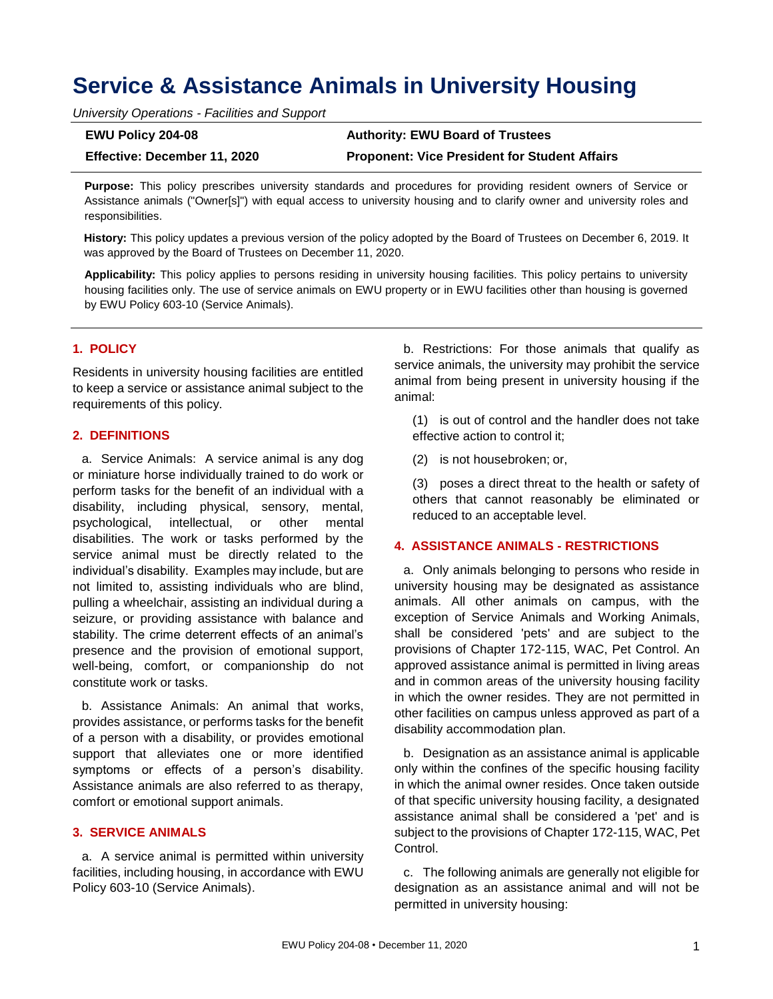# **Service & Assistance Animals in University Housing**

*University Operations - Facilities and Support*

| <b>EWU Policy 204-08</b>     | <b>Authority: EWU Board of Trustees</b>              |
|------------------------------|------------------------------------------------------|
| Effective: December 11, 2020 | <b>Proponent: Vice President for Student Affairs</b> |

**Purpose:** This policy prescribes university standards and procedures for providing resident owners of Service or Assistance animals ("Owner[s]") with equal access to university housing and to clarify owner and university roles and responsibilities.

**History:** This policy updates a previous version of the policy adopted by the Board of Trustees on December 6, 2019. It was approved by the Board of Trustees on December 11, 2020.

**Applicability:** This policy applies to persons residing in university housing facilities. This policy pertains to university housing facilities only. The use of service animals on EWU property or in EWU facilities other than housing is governed by EWU Policy 603-10 (Service Animals).

## **1. POLICY**

Residents in university housing facilities are entitled to keep a service or assistance animal subject to the requirements of this policy.

#### **2. DEFINITIONS**

a. Service Animals: A service animal is any dog or miniature horse individually trained to do work or perform tasks for the benefit of an individual with a disability, including physical, sensory, mental, psychological, intellectual, or other mental disabilities. The work or tasks performed by the service animal must be directly related to the individual's disability. Examples may include, but are not limited to, assisting individuals who are blind, pulling a wheelchair, assisting an individual during a seizure, or providing assistance with balance and stability. The crime deterrent effects of an animal's presence and the provision of emotional support, well-being, comfort, or companionship do not constitute work or tasks.

b. Assistance Animals: An animal that works, provides assistance, or performs tasks for the benefit of a person with a disability, or provides emotional support that alleviates one or more identified symptoms or effects of a person's disability. Assistance animals are also referred to as therapy, comfort or emotional support animals.

#### **3. SERVICE ANIMALS**

a. A service animal is permitted within university facilities, including housing, in accordance with EWU Policy 603-10 (Service Animals).

b. Restrictions: For those animals that qualify as service animals, the university may prohibit the service animal from being present in university housing if the animal:

(1) is out of control and the handler does not take effective action to control it;

(2) is not housebroken; or,

(3) poses a direct threat to the health or safety of others that cannot reasonably be eliminated or reduced to an acceptable level.

# **4. ASSISTANCE ANIMALS - RESTRICTIONS**

a. Only animals belonging to persons who reside in university housing may be designated as assistance animals. All other animals on campus, with the exception of Service Animals and Working Animals, shall be considered 'pets' and are subject to the provisions of Chapter 172-115, WAC, Pet Control. An approved assistance animal is permitted in living areas and in common areas of the university housing facility in which the owner resides. They are not permitted in other facilities on campus unless approved as part of a disability accommodation plan.

b. Designation as an assistance animal is applicable only within the confines of the specific housing facility in which the animal owner resides. Once taken outside of that specific university housing facility, a designated assistance animal shall be considered a 'pet' and is subject to the provisions of Chapter 172-115, WAC, Pet Control.

c. The following animals are generally not eligible for designation as an assistance animal and will not be permitted in university housing: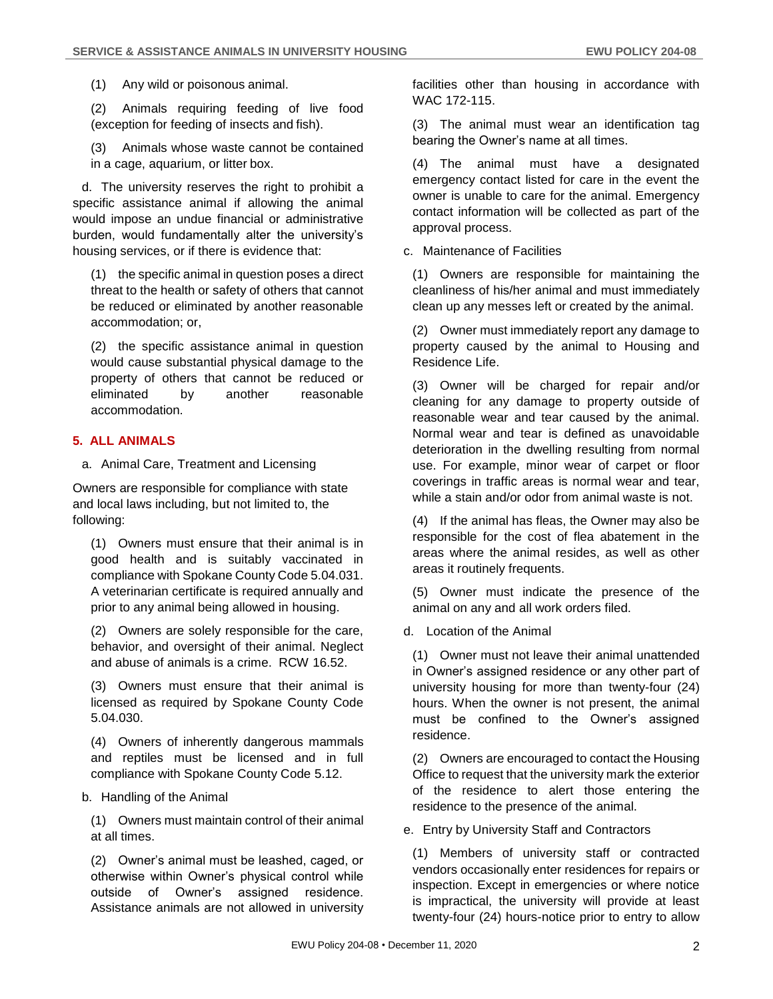(1) Any wild or poisonous animal.

(2) Animals requiring feeding of live food (exception for feeding of insects and fish).

(3) Animals whose waste cannot be contained in a cage, aquarium, or litter box.

d. The university reserves the right to prohibit a specific assistance animal if allowing the animal would impose an undue financial or administrative burden, would fundamentally alter the university's housing services, or if there is evidence that:

(1) the specific animal in question poses a direct threat to the health or safety of others that cannot be reduced or eliminated by another reasonable accommodation; or,

(2) the specific assistance animal in question would cause substantial physical damage to the property of others that cannot be reduced or eliminated by another reasonable accommodation.

## **5. ALL ANIMALS**

a. Animal Care, Treatment and Licensing

Owners are responsible for compliance with state and local laws including, but not limited to, the following:

(1) Owners must ensure that their animal is in good health and is suitably vaccinated in compliance with Spokane County Code 5.04.031. A veterinarian certificate is required annually and prior to any animal being allowed in housing.

(2) Owners are solely responsible for the care, behavior, and oversight of their animal. Neglect and abuse of animals is a crime. RCW 16.52.

(3) Owners must ensure that their animal is licensed as required by Spokane County Code 5.04.030.

(4) Owners of inherently dangerous mammals and reptiles must be licensed and in full compliance with Spokane County Code 5.12.

#### b. Handling of the Animal

(1) Owners must maintain control of their animal at all times.

(2) Owner's animal must be leashed, caged, or otherwise within Owner's physical control while outside of Owner's assigned residence. Assistance animals are not allowed in university facilities other than housing in accordance with WAC 172-115.

(3) The animal must wear an identification tag bearing the Owner's name at all times.

(4) The animal must have a designated emergency contact listed for care in the event the owner is unable to care for the animal. Emergency contact information will be collected as part of the approval process.

c. Maintenance of Facilities

(1) Owners are responsible for maintaining the cleanliness of his/her animal and must immediately clean up any messes left or created by the animal.

(2) Owner must immediately report any damage to property caused by the animal to Housing and Residence Life.

(3) Owner will be charged for repair and/or cleaning for any damage to property outside of reasonable wear and tear caused by the animal. Normal wear and tear is defined as unavoidable deterioration in the dwelling resulting from normal use. For example, minor wear of carpet or floor coverings in traffic areas is normal wear and tear, while a stain and/or odor from animal waste is not.

(4) If the animal has fleas, the Owner may also be responsible for the cost of flea abatement in the areas where the animal resides, as well as other areas it routinely frequents.

(5) Owner must indicate the presence of the animal on any and all work orders filed.

d. Location of the Animal

(1) Owner must not leave their animal unattended in Owner's assigned residence or any other part of university housing for more than twenty-four (24) hours. When the owner is not present, the animal must be confined to the Owner's assigned residence.

(2) Owners are encouraged to contact the Housing Office to request that the university mark the exterior of the residence to alert those entering the residence to the presence of the animal.

e. Entry by University Staff and Contractors

(1) Members of university staff or contracted vendors occasionally enter residences for repairs or inspection. Except in emergencies or where notice is impractical, the university will provide at least twenty-four (24) hours-notice prior to entry to allow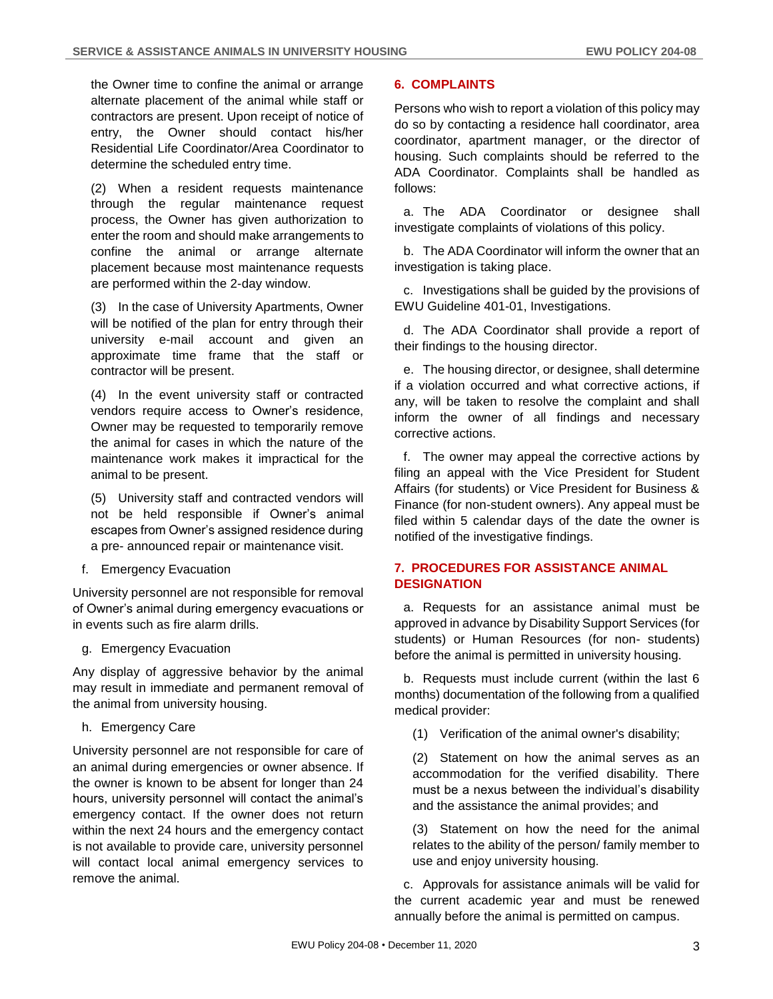the Owner time to confine the animal or arrange alternate placement of the animal while staff or contractors are present. Upon receipt of notice of entry, the Owner should contact his/her Residential Life Coordinator/Area Coordinator to determine the scheduled entry time.

(2) When a resident requests maintenance through the regular maintenance request process, the Owner has given authorization to enter the room and should make arrangements to confine the animal or arrange alternate placement because most maintenance requests are performed within the 2-day window.

(3) In the case of University Apartments, Owner will be notified of the plan for entry through their university e-mail account and given an approximate time frame that the staff or contractor will be present.

(4) In the event university staff or contracted vendors require access to Owner's residence, Owner may be requested to temporarily remove the animal for cases in which the nature of the maintenance work makes it impractical for the animal to be present.

(5) University staff and contracted vendors will not be held responsible if Owner's animal escapes from Owner's assigned residence during a pre- announced repair or maintenance visit.

f. Emergency Evacuation

University personnel are not responsible for removal of Owner's animal during emergency evacuations or in events such as fire alarm drills.

g. Emergency Evacuation

Any display of aggressive behavior by the animal may result in immediate and permanent removal of the animal from university housing.

h. Emergency Care

University personnel are not responsible for care of an animal during emergencies or owner absence. If the owner is known to be absent for longer than 24 hours, university personnel will contact the animal's emergency contact. If the owner does not return within the next 24 hours and the emergency contact is not available to provide care, university personnel will contact local animal emergency services to remove the animal.

# **6. COMPLAINTS**

Persons who wish to report a violation of this policy may do so by contacting a residence hall coordinator, area coordinator, apartment manager, or the director of housing. Such complaints should be referred to the ADA Coordinator. Complaints shall be handled as follows:

a. The ADA Coordinator or designee shall investigate complaints of violations of this policy.

b. The ADA Coordinator will inform the owner that an investigation is taking place.

c. Investigations shall be guided by the provisions of EWU Guideline 401-01, Investigations.

d. The ADA Coordinator shall provide a report of their findings to the housing director.

e. The housing director, or designee, shall determine if a violation occurred and what corrective actions, if any, will be taken to resolve the complaint and shall inform the owner of all findings and necessary corrective actions.

f. The owner may appeal the corrective actions by filing an appeal with the Vice President for Student Affairs (for students) or Vice President for Business & Finance (for non-student owners). Any appeal must be filed within 5 calendar days of the date the owner is notified of the investigative findings.

# **7. PROCEDURES FOR ASSISTANCE ANIMAL DESIGNATION**

a. Requests for an assistance animal must be approved in advance by Disability Support Services (for students) or Human Resources (for non- students) before the animal is permitted in university housing.

b. Requests must include current (within the last 6 months) documentation of the following from a qualified medical provider:

(1) Verification of the animal owner's disability;

(2) Statement on how the animal serves as an accommodation for the verified disability. There must be a nexus between the individual's disability and the assistance the animal provides; and

(3) Statement on how the need for the animal relates to the ability of the person/ family member to use and enjoy university housing.

c. Approvals for assistance animals will be valid for the current academic year and must be renewed annually before the animal is permitted on campus.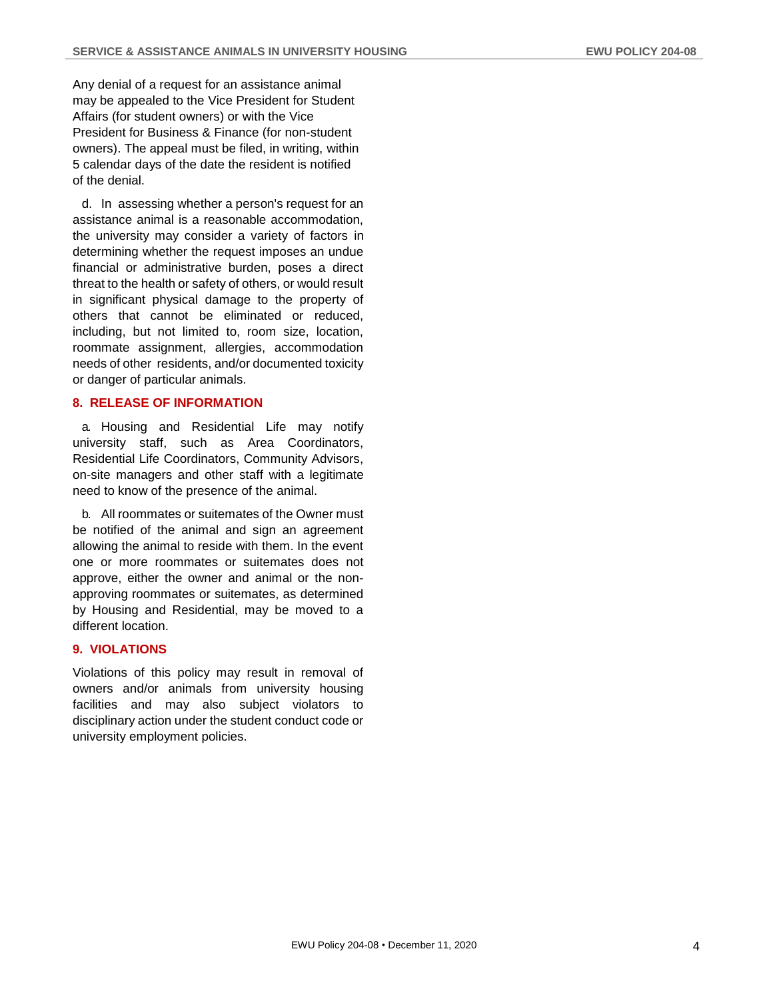Any denial of a request for an assistance animal may be appealed to the Vice President for Student Affairs (for student owners) or with the Vice President for Business & Finance (for non-student owners). The appeal must be filed, in writing, within 5 calendar days of the date the resident is notified of the denial.

d. In assessing whether a person's request for an assistance animal is a reasonable accommodation, the university may consider a variety of factors in determining whether the request imposes an undue financial or administrative burden, poses a direct threat to the health or safety of others, or would result in significant physical damage to the property of others that cannot be eliminated or reduced, including, but not limited to, room size, location, roommate assignment, allergies, accommodation needs of other residents, and/or documented toxicity or danger of particular animals.

#### **8. RELEASE OF INFORMATION**

a. Housing and Residential Life may notify university staff, such as Area Coordinators, Residential Life Coordinators, Community Advisors, on-site managers and other staff with a legitimate need to know of the presence of the animal.

b. All roommates or suitemates of the Owner must be notified of the animal and sign an agreement allowing the animal to reside with them. In the event one or more roommates or suitemates does not approve, either the owner and animal or the nonapproving roommates or suitemates, as determined by Housing and Residential, may be moved to a different location.

#### **9. VIOLATIONS**

Violations of this policy may result in removal of owners and/or animals from university housing facilities and may also subject violators to disciplinary action under the student conduct code or university employment policies.